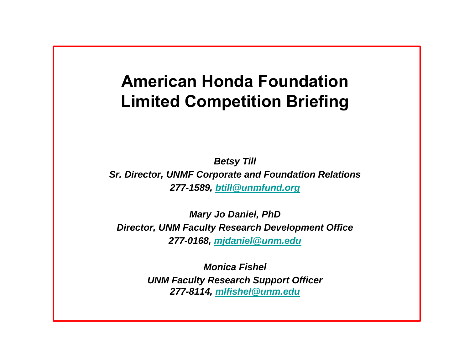### **American Honda FoundationLimited Competition Briefing**

*Betsy Till Sr. Director, UNMF Corporate and Foundation Relations 277-1589, btill@unmfund.org*

*Mary Jo Daniel, PhD Director, UNM Faculty Research Development Office 277-0168, mjdaniel@unm.edu*

> *Monica FishelUNM Faculty Research Support Officer 277-8114, mlfishel@unm.edu*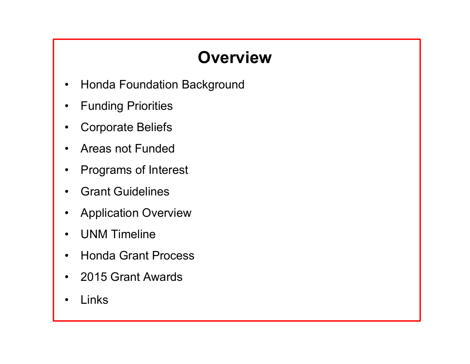# **Overview**

- •Honda Foundation Background
- $\bullet$ Funding Priorities
- •Corporate Beliefs
- $\bullet$ Areas not Funded
- •Programs of Interest
- •Grant Guidelines
- •Application Overview
- •UNM Timeline
- $\bullet$ Honda Grant Process
- •2015 Grant Awards
- •Links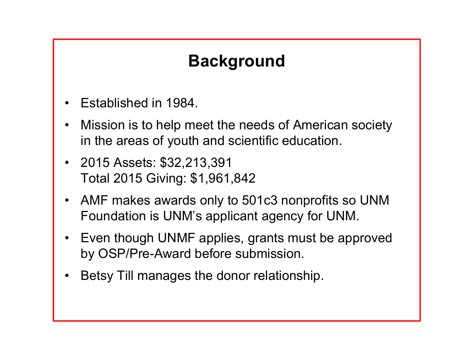## **Background**

- •Established in 1984.
- • Mission is to help meet the needs of American society in the areas of youth and scientific education.
- 2015 Assets: \$32,213,391 Total 2015 Giving: \$1,961,842
- • AMF makes awards only to 501c3 nonprofits so UNM Foundation is UNM's applicant agency for UNM.
- $\bullet$  Even though UNMF applies, grants must be approved by OSP/Pre-Award before submission.
- •Betsy Till manages the donor relationship.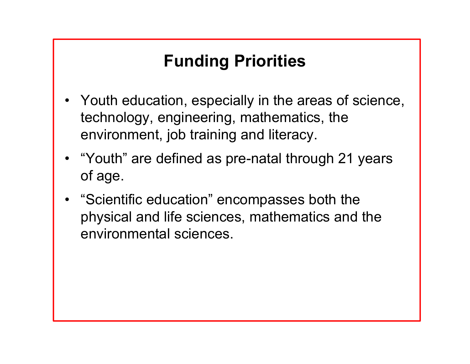# **Funding Priorities**

- Youth education, especially in the areas of science, technology, engineering, mathematics, the environment, job training and literacy.
- "Youth" are defined as pre-natal through 21 years of age.
- • "Scientific education" encompasses both the physical and life sciences, mathematics and the environmental sciences.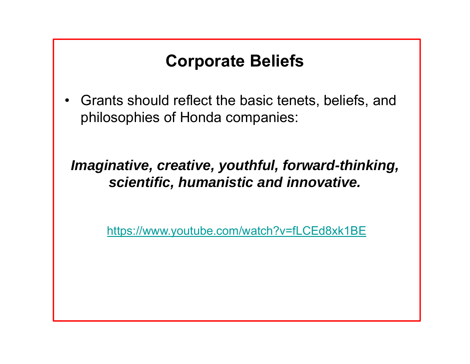#### **Corporate Beliefs**

 $\bullet$  Grants should reflect the basic tenets, beliefs, and philosophies of Honda companies:

*Imaginative, creative, youthful, forward-thinking, scientific, humanistic and innovative.* 

https://www.youtube.com/watch?v=fLCEd8xk1BE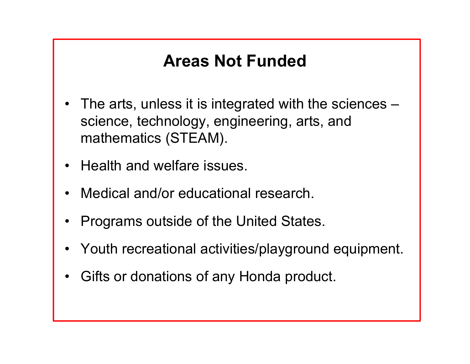#### **Areas Not Funded**

- $\bullet$  The arts, unless it is integrated with the sciences – science, technology, engineering, arts, and mathematics (STEAM).
- •Health and welfare issues.
- •Medical and/or educational research.
- •Programs outside of the United States.
- •Youth recreational activities/playground equipment.
- •Gifts or donations of any Honda product.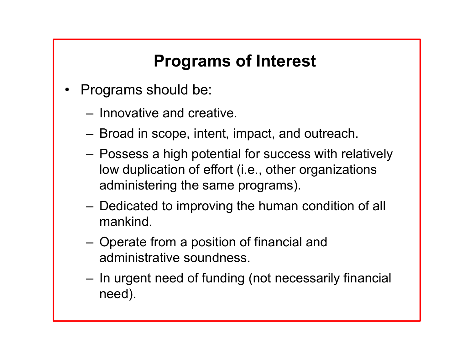# **Programs of Interest**

- • Programs should be:
	- Innovative and creative.
	- –Broad in scope, intent, impact, and outreach.
	- – Possess a high potential for success with relatively low duplication of effort (i.e., other organizations administering the same programs).
	- – Dedicated to improving the human condition of all mankind.
	- – Operate from a position of financial and administrative soundness.
	- – In urgent need of funding (not necessarily financial need).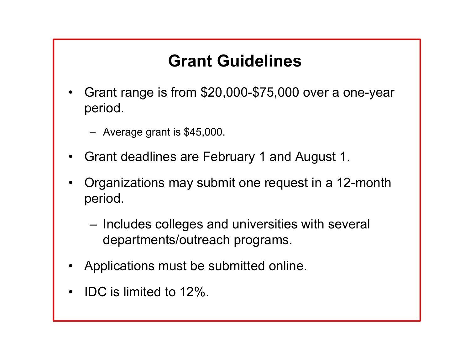## **Grant Guidelines**

- • Grant range is from \$20,000-\$75,000 over a one-year period.
	- Average grant is \$45,000.
- •Grant deadlines are February 1 and August 1.
- • Organizations may submit one request in a 12-month period.
	- – Includes colleges and universities with several departments/outreach programs.
- •Applications must be submitted online.
- •IDC is limited to 12%.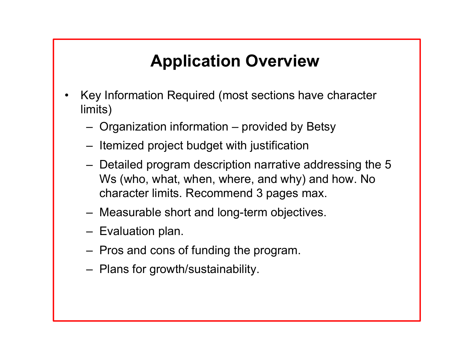## **Application Overview**

- • Key Information Required (most sections have character limits)
	- Organization information provided by Betsy
	- Itemized project budget with justification
	- Detailed program description narrative addressing the 5 Ws (who, what, when, where, and why) and how. No character limits. Recommend 3 pages max.
	- Measurable short and long-term objectives.
	- Evaluation plan.
	- Pros and cons of funding the program.
	- Plans for growth/sustainability.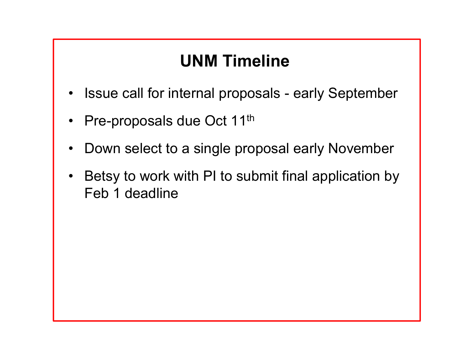#### **UNM Timeline**

- •Issue call for internal proposals - early September
- $\bullet$ Pre-proposals due Oct 11<sup>th</sup>
- •Down select to a single proposal early November
- • Betsy to work with PI to submit final application by Feb 1 deadline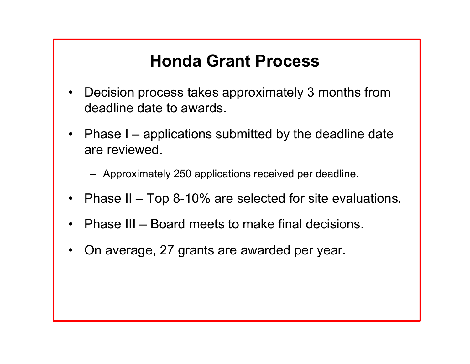### **Honda Grant Process**

- • Decision process takes approximately 3 months from deadline date to awards.
- Phase I applications submitted by the deadline date are reviewed.

– Approximately 250 applications received per deadline.

- $\bullet$ Phase II – Top 8-10% are selected for site evaluations.
- •Phase III – Board meets to make final decisions.
- •On average, 27 grants are awarded per year.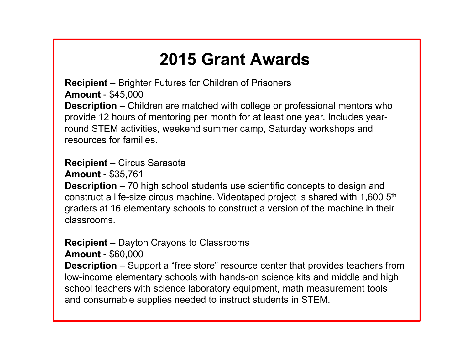### **2015 Grant Awards**

**Recipient** – Brighter Futures for Children of Prisoners **Amount** - \$45,000 **Description** – Children are matched with college or professional mentors who provide 12 hours of mentoring per month for at least one year. Includes yearround STEM activities, weekend summer camp, Saturday workshops and resources for families.

#### **Recipient** – Circus Sarasota

**Amount** - \$35,761

**Description** – 70 high school students use scientific concepts to design and construct a life-size circus machine. Videotaped project is shared with 1,600 5th graders at 16 elementary schools to construct a version of the machine in their classrooms.

#### **Recipient** – Dayton Crayons to Classrooms

**Amount** - \$60,000

**Description** – Support a "free store" resource center that provides teachers from low-income elementary schools with hands-on science kits and middle and high school teachers with science laboratory equipment, math measurement tools and consumable supplies needed to instruct students in STEM.